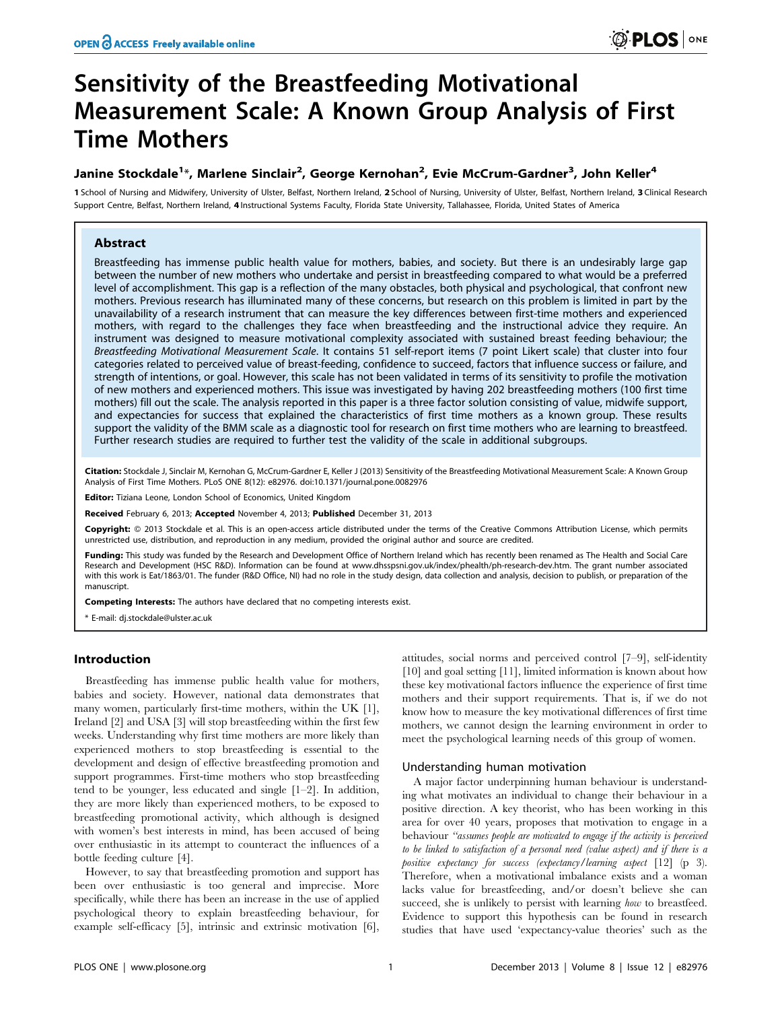# Sensitivity of the Breastfeeding Motivational Measurement Scale: A Known Group Analysis of First Time Mothers

# Janine Stockdale<sup>1</sup>\*, Marlene Sinclair<sup>2</sup>, George Kernohan<sup>2</sup>, Evie McCrum-Gardner<sup>3</sup>, John Keller<sup>4</sup>

1 School of Nursing and Midwifery, University of Ulster, Belfast, Northern Ireland, 2 School of Nursing, University of Ulster, Belfast, Northern Ireland, 3 Clinical Research Support Centre, Belfast, Northern Ireland, 4 Instructional Systems Faculty, Florida State University, Tallahassee, Florida, United States of America

# Abstract

Breastfeeding has immense public health value for mothers, babies, and society. But there is an undesirably large gap between the number of new mothers who undertake and persist in breastfeeding compared to what would be a preferred level of accomplishment. This gap is a reflection of the many obstacles, both physical and psychological, that confront new mothers. Previous research has illuminated many of these concerns, but research on this problem is limited in part by the unavailability of a research instrument that can measure the key differences between first-time mothers and experienced mothers, with regard to the challenges they face when breastfeeding and the instructional advice they require. An instrument was designed to measure motivational complexity associated with sustained breast feeding behaviour; the Breastfeeding Motivational Measurement Scale. It contains 51 self-report items (7 point Likert scale) that cluster into four categories related to perceived value of breast-feeding, confidence to succeed, factors that influence success or failure, and strength of intentions, or goal. However, this scale has not been validated in terms of its sensitivity to profile the motivation of new mothers and experienced mothers. This issue was investigated by having 202 breastfeeding mothers (100 first time mothers) fill out the scale. The analysis reported in this paper is a three factor solution consisting of value, midwife support, and expectancies for success that explained the characteristics of first time mothers as a known group. These results support the validity of the BMM scale as a diagnostic tool for research on first time mothers who are learning to breastfeed. Further research studies are required to further test the validity of the scale in additional subgroups.

Citation: Stockdale J, Sinclair M, Kernohan G, McCrum-Gardner E, Keller J (2013) Sensitivity of the Breastfeeding Motivational Measurement Scale: A Known Group Analysis of First Time Mothers. PLoS ONE 8(12): e82976. doi:10.1371/journal.pone.0082976

Editor: Tiziana Leone, London School of Economics, United Kingdom

Received February 6, 2013; Accepted November 4, 2013; Published December 31, 2013

Copyright: © 2013 Stockdale et al. This is an open-access article distributed under the terms of the Creative Commons Attribution License, which permits unrestricted use, distribution, and reproduction in any medium, provided the original author and source are credited.

Funding: This study was funded by the Research and Development Office of Northern Ireland which has recently been renamed as The Health and Social Care Research and Development (HSC R&D). Information can be found at www.dhsspsni.gov.uk/index/phealth/ph-research-dev.htm. The grant number associated with this work is Eat/1863/01. The funder (R&D Office, NI) had no role in the study design, data collection and analysis, decision to publish, or preparation of the manuscript.

Competing Interests: The authors have declared that no competing interests exist.

\* E-mail: dj.stockdale@ulster.ac.uk

## Introduction

Breastfeeding has immense public health value for mothers, babies and society. However, national data demonstrates that many women, particularly first-time mothers, within the UK [1], Ireland [2] and USA [3] will stop breastfeeding within the first few weeks. Understanding why first time mothers are more likely than experienced mothers to stop breastfeeding is essential to the development and design of effective breastfeeding promotion and support programmes. First-time mothers who stop breastfeeding tend to be younger, less educated and single [1–2]. In addition, they are more likely than experienced mothers, to be exposed to breastfeeding promotional activity, which although is designed with women's best interests in mind, has been accused of being over enthusiastic in its attempt to counteract the influences of a bottle feeding culture [4].

However, to say that breastfeeding promotion and support has been over enthusiastic is too general and imprecise. More specifically, while there has been an increase in the use of applied psychological theory to explain breastfeeding behaviour, for example self-efficacy [5], intrinsic and extrinsic motivation [6], attitudes, social norms and perceived control [7–9], self-identity [10] and goal setting [11], limited information is known about how these key motivational factors influence the experience of first time mothers and their support requirements. That is, if we do not know how to measure the key motivational differences of first time mothers, we cannot design the learning environment in order to meet the psychological learning needs of this group of women.

#### Understanding human motivation

A major factor underpinning human behaviour is understanding what motivates an individual to change their behaviour in a positive direction. A key theorist, who has been working in this area for over 40 years, proposes that motivation to engage in a behaviour "assumes people are motivated to engage if the activity is perceived to be linked to satisfaction of a personal need (value aspect) and if there is a positive expectancy for success (expectancy/learning aspect [12] (p 3). Therefore, when a motivational imbalance exists and a woman lacks value for breastfeeding, and/or doesn't believe she can succeed, she is unlikely to persist with learning how to breastfeed. Evidence to support this hypothesis can be found in research studies that have used 'expectancy-value theories' such as the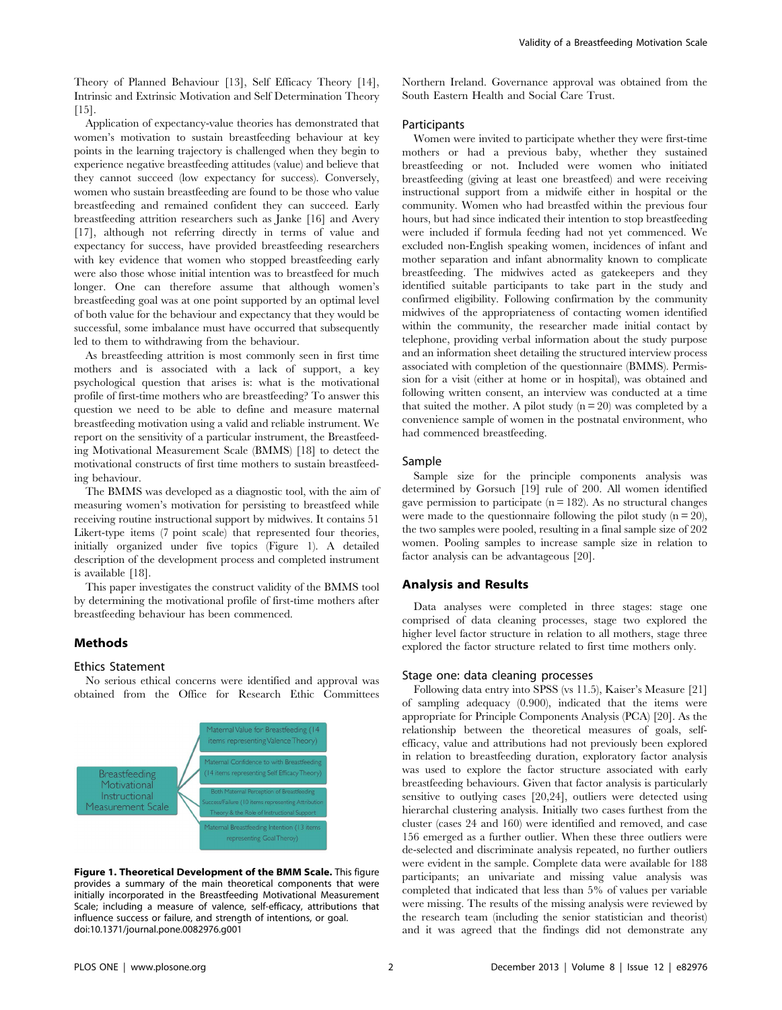Theory of Planned Behaviour [13], Self Efficacy Theory [14], Intrinsic and Extrinsic Motivation and Self Determination Theory [15].

Application of expectancy-value theories has demonstrated that women's motivation to sustain breastfeeding behaviour at key points in the learning trajectory is challenged when they begin to experience negative breastfeeding attitudes (value) and believe that they cannot succeed (low expectancy for success). Conversely, women who sustain breastfeeding are found to be those who value breastfeeding and remained confident they can succeed. Early breastfeeding attrition researchers such as Janke [16] and Avery [17], although not referring directly in terms of value and expectancy for success, have provided breastfeeding researchers with key evidence that women who stopped breastfeeding early were also those whose initial intention was to breastfeed for much longer. One can therefore assume that although women's breastfeeding goal was at one point supported by an optimal level of both value for the behaviour and expectancy that they would be successful, some imbalance must have occurred that subsequently led to them to withdrawing from the behaviour.

As breastfeeding attrition is most commonly seen in first time mothers and is associated with a lack of support, a key psychological question that arises is: what is the motivational profile of first-time mothers who are breastfeeding? To answer this question we need to be able to define and measure maternal breastfeeding motivation using a valid and reliable instrument. We report on the sensitivity of a particular instrument, the Breastfeeding Motivational Measurement Scale (BMMS) [18] to detect the motivational constructs of first time mothers to sustain breastfeeding behaviour.

The BMMS was developed as a diagnostic tool, with the aim of measuring women's motivation for persisting to breastfeed while receiving routine instructional support by midwives. It contains 51 Likert-type items (7 point scale) that represented four theories, initially organized under five topics (Figure 1). A detailed description of the development process and completed instrument is available [18].

This paper investigates the construct validity of the BMMS tool by determining the motivational profile of first-time mothers after breastfeeding behaviour has been commenced.

# Methods

# Ethics Statement

No serious ethical concerns were identified and approval was obtained from the Office for Research Ethic Committees



Figure 1. Theoretical Development of the BMM Scale. This figure provides a summary of the main theoretical components that were initially incorporated in the Breastfeeding Motivational Measurement Scale; including a measure of valence, self-efficacy, attributions that influence success or failure, and strength of intentions, or goal. doi:10.1371/journal.pone.0082976.g001

Northern Ireland. Governance approval was obtained from the South Eastern Health and Social Care Trust.

#### **Participants**

Women were invited to participate whether they were first-time mothers or had a previous baby, whether they sustained breastfeeding or not. Included were women who initiated breastfeeding (giving at least one breastfeed) and were receiving instructional support from a midwife either in hospital or the community. Women who had breastfed within the previous four hours, but had since indicated their intention to stop breastfeeding were included if formula feeding had not yet commenced. We excluded non-English speaking women, incidences of infant and mother separation and infant abnormality known to complicate breastfeeding. The midwives acted as gatekeepers and they identified suitable participants to take part in the study and confirmed eligibility. Following confirmation by the community midwives of the appropriateness of contacting women identified within the community, the researcher made initial contact by telephone, providing verbal information about the study purpose and an information sheet detailing the structured interview process associated with completion of the questionnaire (BMMS). Permission for a visit (either at home or in hospital), was obtained and following written consent, an interview was conducted at a time that suited the mother. A pilot study  $(n = 20)$  was completed by a convenience sample of women in the postnatal environment, who had commenced breastfeeding.

#### Sample

Sample size for the principle components analysis was determined by Gorsuch [19] rule of 200. All women identified gave permission to participate  $(n = 182)$ . As no structural changes were made to the questionnaire following the pilot study  $(n = 20)$ , the two samples were pooled, resulting in a final sample size of 202 women. Pooling samples to increase sample size in relation to factor analysis can be advantageous [20].

# Analysis and Results

Data analyses were completed in three stages: stage one comprised of data cleaning processes, stage two explored the higher level factor structure in relation to all mothers, stage three explored the factor structure related to first time mothers only.

#### Stage one: data cleaning processes

Following data entry into SPSS (vs 11.5), Kaiser's Measure [21] of sampling adequacy (0.900), indicated that the items were appropriate for Principle Components Analysis (PCA) [20]. As the relationship between the theoretical measures of goals, selfefficacy, value and attributions had not previously been explored in relation to breastfeeding duration, exploratory factor analysis was used to explore the factor structure associated with early breastfeeding behaviours. Given that factor analysis is particularly sensitive to outlying cases [20,24], outliers were detected using hierarchal clustering analysis. Initially two cases furthest from the cluster (cases 24 and 160) were identified and removed, and case 156 emerged as a further outlier. When these three outliers were de-selected and discriminate analysis repeated, no further outliers were evident in the sample. Complete data were available for 188 participants; an univariate and missing value analysis was completed that indicated that less than 5% of values per variable were missing. The results of the missing analysis were reviewed by the research team (including the senior statistician and theorist) and it was agreed that the findings did not demonstrate any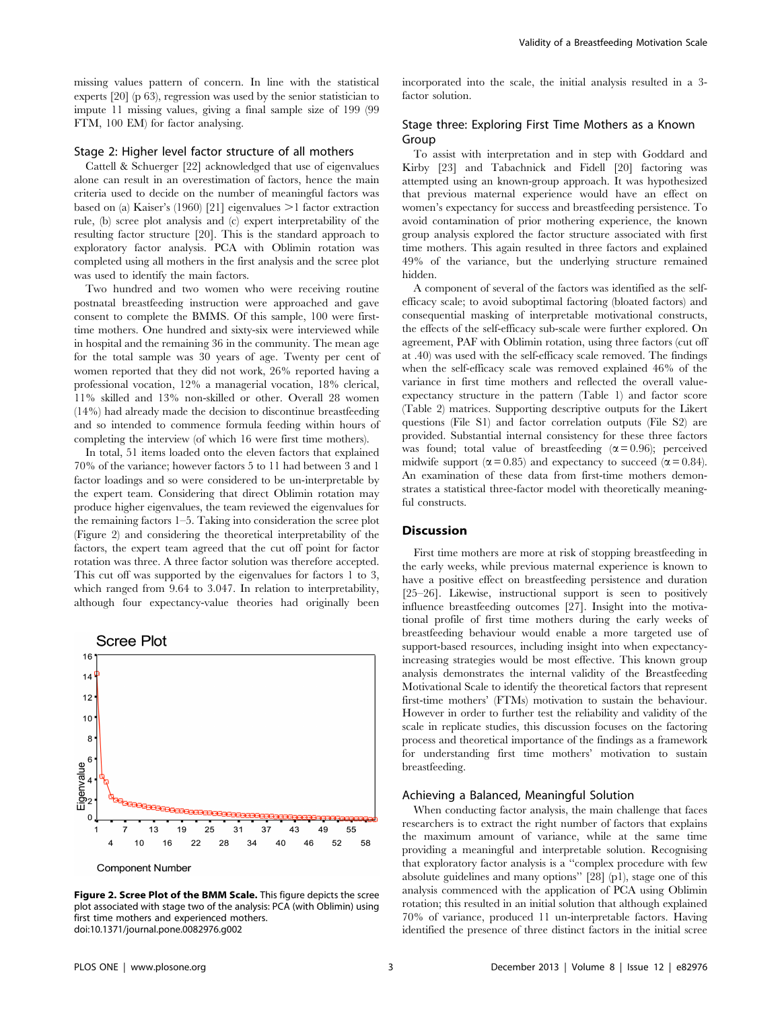missing values pattern of concern. In line with the statistical experts [20] (p 63), regression was used by the senior statistician to impute 11 missing values, giving a final sample size of 199 (99 FTM, 100 EM) for factor analysing.

## Stage 2: Higher level factor structure of all mothers

Cattell & Schuerger [22] acknowledged that use of eigenvalues alone can result in an overestimation of factors, hence the main criteria used to decide on the number of meaningful factors was based on (a) Kaiser's (1960) [21] eigenvalues  $>1$  factor extraction rule, (b) scree plot analysis and (c) expert interpretability of the resulting factor structure [20]. This is the standard approach to exploratory factor analysis. PCA with Oblimin rotation was completed using all mothers in the first analysis and the scree plot was used to identify the main factors.

Two hundred and two women who were receiving routine postnatal breastfeeding instruction were approached and gave consent to complete the BMMS. Of this sample, 100 were firsttime mothers. One hundred and sixty-six were interviewed while in hospital and the remaining 36 in the community. The mean age for the total sample was 30 years of age. Twenty per cent of women reported that they did not work, 26% reported having a professional vocation, 12% a managerial vocation, 18% clerical, 11% skilled and 13% non-skilled or other. Overall 28 women (14%) had already made the decision to discontinue breastfeeding and so intended to commence formula feeding within hours of completing the interview (of which 16 were first time mothers).

In total, 51 items loaded onto the eleven factors that explained 70% of the variance; however factors 5 to 11 had between 3 and 1 factor loadings and so were considered to be un-interpretable by the expert team. Considering that direct Oblimin rotation may produce higher eigenvalues, the team reviewed the eigenvalues for the remaining factors 1–5. Taking into consideration the scree plot (Figure 2) and considering the theoretical interpretability of the factors, the expert team agreed that the cut off point for factor rotation was three. A three factor solution was therefore accepted. This cut off was supported by the eigenvalues for factors 1 to 3, which ranged from 9.64 to 3.047. In relation to interpretability, although four expectancy-value theories had originally been



Figure 2. Scree Plot of the BMM Scale. This figure depicts the scree plot associated with stage two of the analysis: PCA (with Oblimin) using first time mothers and experienced mothers. doi:10.1371/journal.pone.0082976.g002

incorporated into the scale, the initial analysis resulted in a 3 factor solution.

# Stage three: Exploring First Time Mothers as a Known Group

To assist with interpretation and in step with Goddard and Kirby [23] and Tabachnick and Fidell [20] factoring was attempted using an known-group approach. It was hypothesized that previous maternal experience would have an effect on women's expectancy for success and breastfeeding persistence. To avoid contamination of prior mothering experience, the known group analysis explored the factor structure associated with first time mothers. This again resulted in three factors and explained 49% of the variance, but the underlying structure remained hidden.

A component of several of the factors was identified as the selfefficacy scale; to avoid suboptimal factoring (bloated factors) and consequential masking of interpretable motivational constructs, the effects of the self-efficacy sub-scale were further explored. On agreement, PAF with Oblimin rotation, using three factors (cut off at .40) was used with the self-efficacy scale removed. The findings when the self-efficacy scale was removed explained 46% of the variance in first time mothers and reflected the overall valueexpectancy structure in the pattern (Table 1) and factor score (Table 2) matrices. Supporting descriptive outputs for the Likert questions (File S1) and factor correlation outputs (File S2) are provided. Substantial internal consistency for these three factors was found; total value of breastfeeding  $(\alpha = 0.96)$ ; perceived midwife support ( $\alpha$  = 0.85) and expectancy to succeed ( $\alpha$  = 0.84). An examination of these data from first-time mothers demonstrates a statistical three-factor model with theoretically meaningful constructs.

#### Discussion

First time mothers are more at risk of stopping breastfeeding in the early weeks, while previous maternal experience is known to have a positive effect on breastfeeding persistence and duration [25–26]. Likewise, instructional support is seen to positively influence breastfeeding outcomes [27]. Insight into the motivational profile of first time mothers during the early weeks of breastfeeding behaviour would enable a more targeted use of support-based resources, including insight into when expectancyincreasing strategies would be most effective. This known group analysis demonstrates the internal validity of the Breastfeeding Motivational Scale to identify the theoretical factors that represent first-time mothers' (FTMs) motivation to sustain the behaviour. However in order to further test the reliability and validity of the scale in replicate studies, this discussion focuses on the factoring process and theoretical importance of the findings as a framework for understanding first time mothers' motivation to sustain breastfeeding.

#### Achieving a Balanced, Meaningful Solution

When conducting factor analysis, the main challenge that faces researchers is to extract the right number of factors that explains the maximum amount of variance, while at the same time providing a meaningful and interpretable solution. Recognising that exploratory factor analysis is a ''complex procedure with few absolute guidelines and many options'' [28] (p1), stage one of this analysis commenced with the application of PCA using Oblimin rotation; this resulted in an initial solution that although explained 70% of variance, produced 11 un-interpretable factors. Having identified the presence of three distinct factors in the initial scree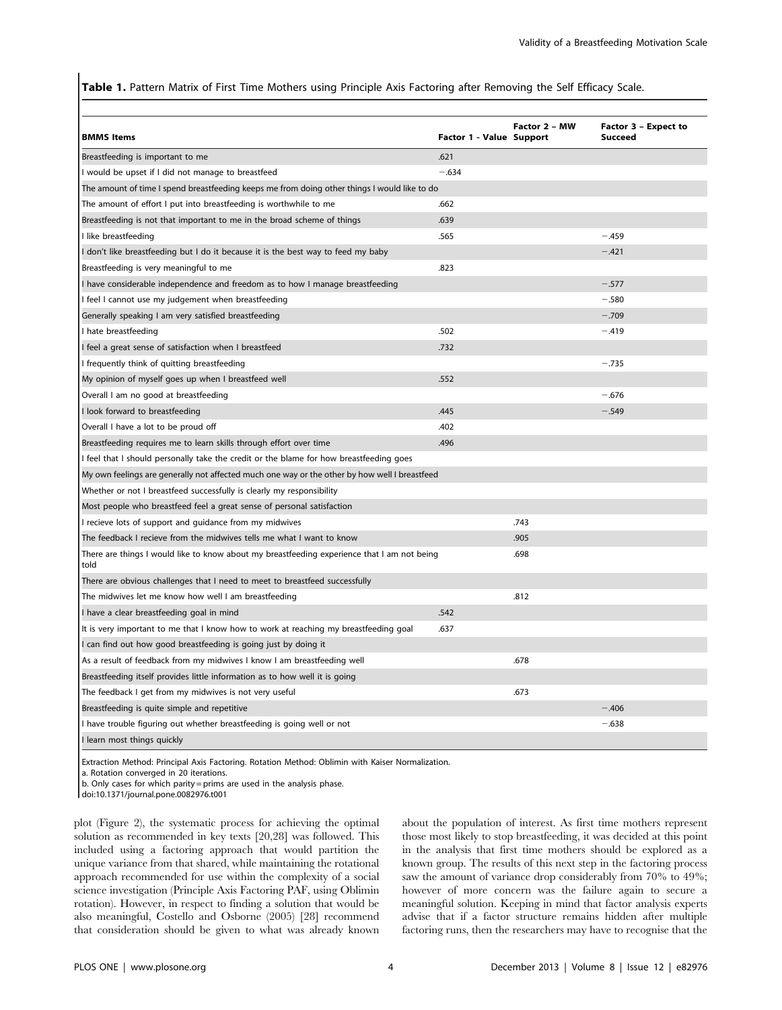Table 1. Pattern Matrix of First Time Mothers using Principle Axis Factoring after Removing the Self Efficacy Scale.

| <b>BMMS Items</b>                                                                                   | Factor 1 - Value Support | Factor 2 - MW | Factor 3 - Expect to<br><b>Succeed</b> |  |  |
|-----------------------------------------------------------------------------------------------------|--------------------------|---------------|----------------------------------------|--|--|
| Breastfeeding is important to me                                                                    | .621                     |               |                                        |  |  |
| I would be upset if I did not manage to breastfeed                                                  | $-.634$                  |               |                                        |  |  |
| The amount of time I spend breastfeeding keeps me from doing other things I would like to do        |                          |               |                                        |  |  |
| The amount of effort I put into breastfeeding is worthwhile to me                                   | .662                     |               |                                        |  |  |
| Breastfeeding is not that important to me in the broad scheme of things                             | .639                     |               |                                        |  |  |
| I like breastfeeding                                                                                | .565                     |               | $-.459$                                |  |  |
| I don't like breastfeeding but I do it because it is the best way to feed my baby                   |                          |               | $-.421$                                |  |  |
| Breastfeeding is very meaningful to me                                                              | .823                     |               |                                        |  |  |
| I have considerable independence and freedom as to how I manage breastfeeding                       |                          |               | $-.577$                                |  |  |
| I feel I cannot use my judgement when breastfeeding                                                 |                          |               | $-.580$                                |  |  |
| Generally speaking I am very satisfied breastfeeding                                                |                          |               | $-.709$                                |  |  |
| I hate breastfeeding                                                                                | .502                     |               | $-.419$                                |  |  |
| I feel a great sense of satisfaction when I breastfeed                                              | .732                     |               |                                        |  |  |
| I frequently think of quitting breastfeeding                                                        |                          |               | $-.735$                                |  |  |
| My opinion of myself goes up when I breastfeed well                                                 | .552                     |               |                                        |  |  |
| Overall I am no good at breastfeeding                                                               |                          |               | $-.676$                                |  |  |
| I look forward to breastfeeding                                                                     | .445                     |               | $-.549$                                |  |  |
| Overall I have a lot to be proud off                                                                | .402                     |               |                                        |  |  |
| Breastfeeding requires me to learn skills through effort over time                                  | .496                     |               |                                        |  |  |
| I feel that I should personally take the credit or the blame for how breastfeeding goes             |                          |               |                                        |  |  |
| My own feelings are generally not affected much one way or the other by how well I breastfeed       |                          |               |                                        |  |  |
| Whether or not I breastfeed successfully is clearly my responsibility                               |                          |               |                                        |  |  |
| Most people who breastfeed feel a great sense of personal satisfaction                              |                          |               |                                        |  |  |
| I recieve lots of support and guidance from my midwives                                             |                          | .743          |                                        |  |  |
| The feedback I recieve from the midwives tells me what I want to know                               |                          | .905          |                                        |  |  |
| There are things I would like to know about my breastfeeding experience that I am not being<br>told |                          | .698          |                                        |  |  |
| There are obvious challenges that I need to meet to breastfeed successfully                         |                          |               |                                        |  |  |
| The midwives let me know how well I am breastfeeding                                                |                          | .812          |                                        |  |  |
| I have a clear breastfeeding goal in mind                                                           | .542                     |               |                                        |  |  |
| It is very important to me that I know how to work at reaching my breastfeeding goal                | .637                     |               |                                        |  |  |
| I can find out how good breastfeeding is going just by doing it                                     |                          |               |                                        |  |  |
| As a result of feedback from my midwives I know I am breastfeeding well                             |                          | .678          |                                        |  |  |
| Breastfeeding itself provides little information as to how well it is going                         |                          |               |                                        |  |  |
| The feedback I get from my midwives is not very useful                                              |                          | .673          |                                        |  |  |
| Breastfeeding is quite simple and repetitive                                                        |                          |               | -.406                                  |  |  |
| I have trouble figuring out whether breastfeeding is going well or not                              |                          |               | $-.638$                                |  |  |
| I learn most things quickly                                                                         |                          |               |                                        |  |  |

Extraction Method: Principal Axis Factoring. Rotation Method: Oblimin with Kaiser Normalization.

a. Rotation converged in 20 iterations.

b. Only cases for which parity = prims are used in the analysis phase.

doi:10.1371/journal.pone.0082976.t001

plot (Figure 2), the systematic process for achieving the optimal solution as recommended in key texts [20,28] was followed. This included using a factoring approach that would partition the unique variance from that shared, while maintaining the rotational approach recommended for use within the complexity of a social science investigation (Principle Axis Factoring PAF, using Oblimin rotation). However, in respect to finding a solution that would be also meaningful, Costello and Osborne (2005) [28] recommend that consideration should be given to what was already known about the population of interest. As first time mothers represent those most likely to stop breastfeeding, it was decided at this point in the analysis that first time mothers should be explored as a known group. The results of this next step in the factoring process saw the amount of variance drop considerably from 70% to 49%; however of more concern was the failure again to secure a meaningful solution. Keeping in mind that factor analysis experts advise that if a factor structure remains hidden after multiple factoring runs, then the researchers may have to recognise that the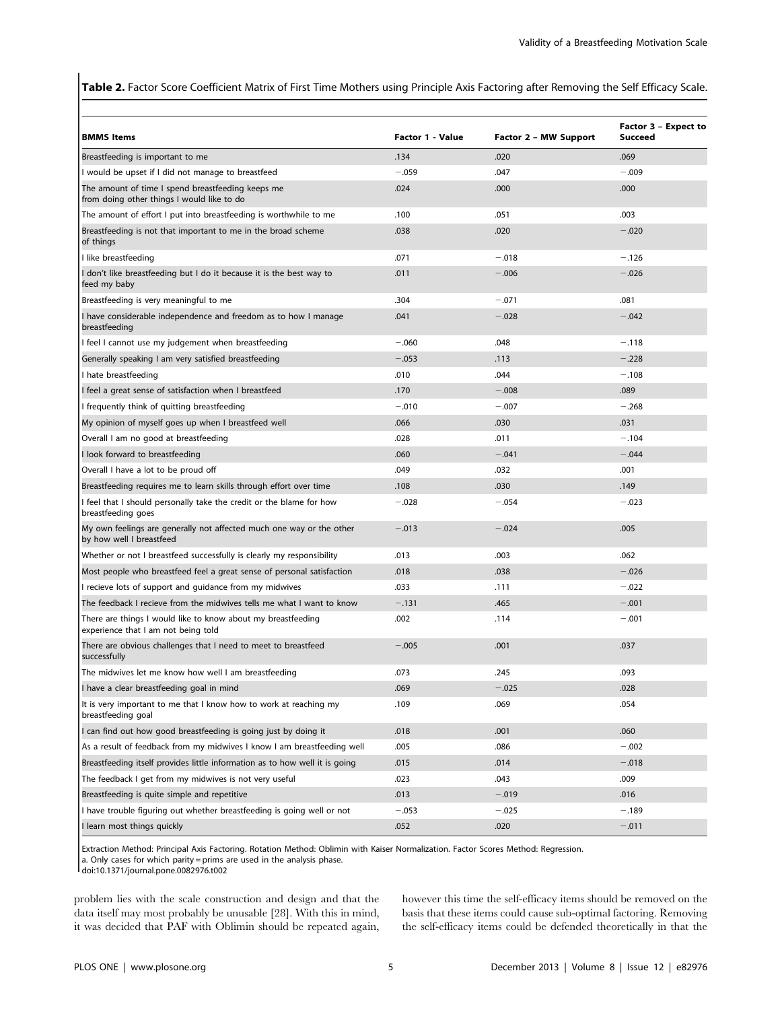Table 2. Factor Score Coefficient Matrix of First Time Mothers using Principle Axis Factoring after Removing the Self Efficacy Scale.

| <b>BMMS Items</b>                                                                                   | Factor 1 - Value | Factor 2 - MW Support | Factor 3 - Expect to<br>Succeed |
|-----------------------------------------------------------------------------------------------------|------------------|-----------------------|---------------------------------|
| Breastfeeding is important to me                                                                    | .134             | .020                  | .069                            |
| I would be upset if I did not manage to breastfeed                                                  | $-.059$          | .047                  | $-.009$                         |
| The amount of time I spend breastfeeding keeps me<br>from doing other things I would like to do     | .024             | .000                  | .000                            |
| The amount of effort I put into breastfeeding is worthwhile to me                                   | .100             | .051                  | .003                            |
| Breastfeeding is not that important to me in the broad scheme<br>of things                          | .038             | .020                  | $-.020$                         |
| I like breastfeeding                                                                                | .071             | $-.018$               | $-.126$                         |
| I don't like breastfeeding but I do it because it is the best way to<br>feed my baby                | .011             | $-.006$               | $-.026$                         |
| Breastfeeding is very meaningful to me                                                              | .304             | $-.071$               | .081                            |
| I have considerable independence and freedom as to how I manage<br>breastfeeding                    | .041             | $-.028$               | $-.042$                         |
| I feel I cannot use my judgement when breastfeeding                                                 | $-.060$          | .048                  | $-.118$                         |
| Generally speaking I am very satisfied breastfeeding                                                | $-.053$          | .113                  | $-.228$                         |
| I hate breastfeeding                                                                                | .010             | .044                  | $-.108$                         |
| I feel a great sense of satisfaction when I breastfeed                                              | .170             | $-.008$               | .089                            |
| I frequently think of quitting breastfeeding                                                        | $-.010$          | $-.007$               | $-.268$                         |
| My opinion of myself goes up when I breastfeed well                                                 | .066             | .030                  | .031                            |
| Overall I am no good at breastfeeding                                                               | .028             | .011                  | $-.104$                         |
| I look forward to breastfeeding                                                                     | .060             | $-.041$               | $-.044$                         |
| Overall I have a lot to be proud off                                                                | .049             | .032                  | .001                            |
| Breastfeeding requires me to learn skills through effort over time                                  | .108             | .030                  | .149                            |
| I feel that I should personally take the credit or the blame for how<br>breastfeeding goes          | $-.028$          | $-.054$               | $-.023$                         |
| My own feelings are generally not affected much one way or the other<br>by how well I breastfeed    | $-.013$          | $-.024$               | .005                            |
| Whether or not I breastfeed successfully is clearly my responsibility                               | .013             | .003                  | .062                            |
| Most people who breastfeed feel a great sense of personal satisfaction                              | .018             | .038                  | $-.026$                         |
| I recieve lots of support and guidance from my midwives                                             | .033             | .111                  | $-.022$                         |
| The feedback I recieve from the midwives tells me what I want to know                               | $-.131$          | .465                  | $-.001$                         |
| There are things I would like to know about my breastfeeding<br>experience that I am not being told | .002             | .114                  | $-.001$                         |
| There are obvious challenges that I need to meet to breastfeed<br>successfully                      | $-.005$          | .001                  | .037                            |
| The midwives let me know how well I am breastfeeding                                                | .073             | .245                  | .093                            |
| I have a clear breastfeeding goal in mind                                                           | .069             | $-.025$               | .028                            |
| It is very important to me that I know how to work at reaching my<br>breastfeeding goal             | .109             | .069                  | .054                            |
| I can find out how good breastfeeding is going just by doing it                                     | .018             | .001                  | .060                            |
| As a result of feedback from my midwives I know I am breastfeeding well                             | .005             | .086                  | $-.002$                         |
| Breastfeeding itself provides little information as to how well it is going                         | .015             | .014                  | $-.018$                         |
| The feedback I get from my midwives is not very useful                                              | .023             | .043                  | .009                            |
| Breastfeeding is quite simple and repetitive                                                        | .013             | $-.019$               | .016                            |
| I have trouble figuring out whether breastfeeding is going well or not                              | $-.053$          | $-.025$               | $-.189$                         |
| I learn most things quickly                                                                         | .052             | .020                  | $-.011$                         |

Extraction Method: Principal Axis Factoring. Rotation Method: Oblimin with Kaiser Normalization. Factor Scores Method: Regression.

a. Only cases for which parity = prims are used in the analysis phase.

problem lies with the scale construction and design and that the data itself may most probably be unusable [28]. With this in mind, it was decided that PAF with Oblimin should be repeated again, however this time the self-efficacy items should be removed on the basis that these items could cause sub-optimal factoring. Removing the self-efficacy items could be defended theoretically in that the

doi:10.1371/journal.pone.0082976.t002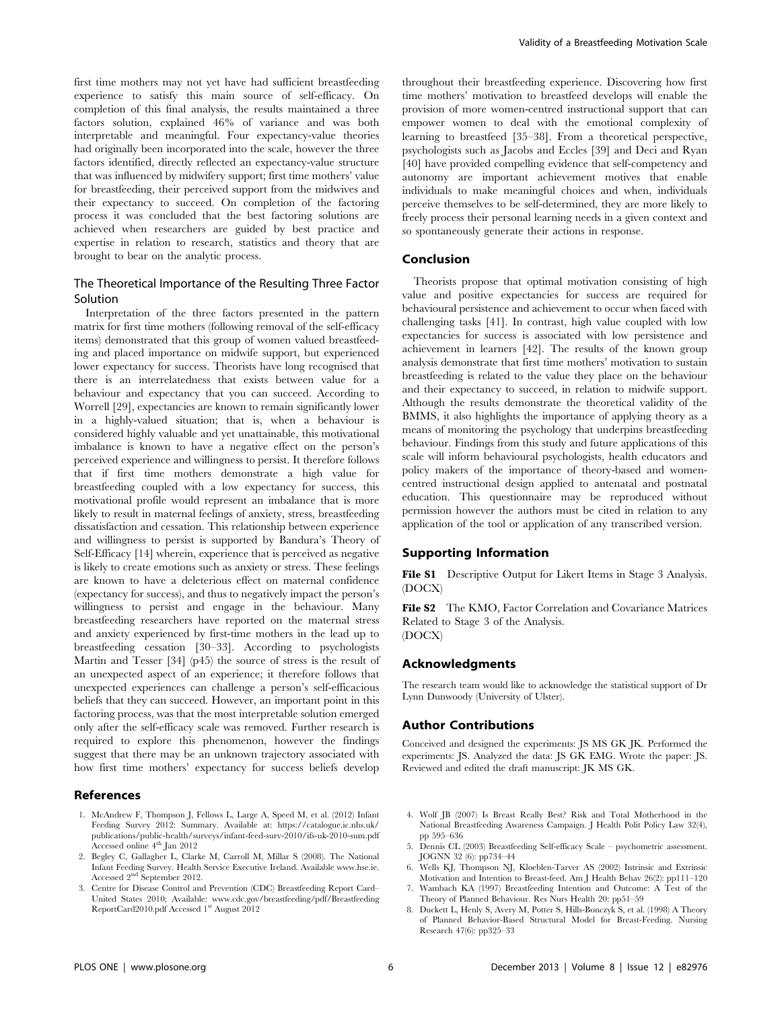first time mothers may not yet have had sufficient breastfeeding experience to satisfy this main source of self-efficacy. On completion of this final analysis, the results maintained a three factors solution, explained 46% of variance and was both interpretable and meaningful. Four expectancy-value theories had originally been incorporated into the scale, however the three factors identified, directly reflected an expectancy-value structure that was influenced by midwifery support; first time mothers' value for breastfeeding, their perceived support from the midwives and their expectancy to succeed. On completion of the factoring process it was concluded that the best factoring solutions are achieved when researchers are guided by best practice and expertise in relation to research, statistics and theory that are brought to bear on the analytic process.

# The Theoretical Importance of the Resulting Three Factor Solution

Interpretation of the three factors presented in the pattern matrix for first time mothers (following removal of the self-efficacy items) demonstrated that this group of women valued breastfeeding and placed importance on midwife support, but experienced lower expectancy for success. Theorists have long recognised that there is an interrelatedness that exists between value for a behaviour and expectancy that you can succeed. According to Worrell [29], expectancies are known to remain significantly lower in a highly-valued situation; that is, when a behaviour is considered highly valuable and yet unattainable, this motivational imbalance is known to have a negative effect on the person's perceived experience and willingness to persist. It therefore follows that if first time mothers demonstrate a high value for breastfeeding coupled with a low expectancy for success, this motivational profile would represent an imbalance that is more likely to result in maternal feelings of anxiety, stress, breastfeeding dissatisfaction and cessation. This relationship between experience and willingness to persist is supported by Bandura's Theory of Self-Efficacy [14] wherein, experience that is perceived as negative is likely to create emotions such as anxiety or stress. These feelings are known to have a deleterious effect on maternal confidence (expectancy for success), and thus to negatively impact the person's willingness to persist and engage in the behaviour. Many breastfeeding researchers have reported on the maternal stress and anxiety experienced by first-time mothers in the lead up to breastfeeding cessation [30–33]. According to psychologists Martin and Tesser [34] (p45) the source of stress is the result of an unexpected aspect of an experience; it therefore follows that unexpected experiences can challenge a person's self-efficacious beliefs that they can succeed. However, an important point in this factoring process, was that the most interpretable solution emerged only after the self-efficacy scale was removed. Further research is required to explore this phenomenon, however the findings suggest that there may be an unknown trajectory associated with how first time mothers' expectancy for success beliefs develop

#### References

- 1. McAndrew F, Thompson J, Fellows L, Large A, Speed M, et al. (2012) Infant Feeding Survey 2012: Summary. Available at: https://catalogue.ic.nhs.uk/ publications/public-health/surveys/infant-feed-surv-2010/ifs-uk-2010-sum.pdf Accessed online 4<sup>th</sup> Jan 2012
- 2. Begley C, Gallagher L, Clarke M, Carroll M, Millar S (2008). The National Infant Feeding Survey. Health Service Executive Ireland. Available www.hse.ie. Accessed 2nd September 2012.
- 3. Centre for Disease Control and Prevention (CDC) Breastfeeding Report Card– United States 2010; Available: www.cdc.gov/breastfeeding/pdf/Breastfeeding ReportCard2010.pdf Accessed 1<sup>st</sup> August 2012

throughout their breastfeeding experience. Discovering how first time mothers' motivation to breastfeed develops will enable the provision of more women-centred instructional support that can empower women to deal with the emotional complexity of learning to breastfeed [35–38]. From a theoretical perspective, psychologists such as Jacobs and Eccles [39] and Deci and Ryan [40] have provided compelling evidence that self-competency and autonomy are important achievement motives that enable individuals to make meaningful choices and when, individuals perceive themselves to be self-determined, they are more likely to freely process their personal learning needs in a given context and so spontaneously generate their actions in response.

#### Conclusion

Theorists propose that optimal motivation consisting of high value and positive expectancies for success are required for behavioural persistence and achievement to occur when faced with challenging tasks [41]. In contrast, high value coupled with low expectancies for success is associated with low persistence and achievement in learners [42]. The results of the known group analysis demonstrate that first time mothers' motivation to sustain breastfeeding is related to the value they place on the behaviour and their expectancy to succeed, in relation to midwife support. Although the results demonstrate the theoretical validity of the BMMS, it also highlights the importance of applying theory as a means of monitoring the psychology that underpins breastfeeding behaviour. Findings from this study and future applications of this scale will inform behavioural psychologists, health educators and policy makers of the importance of theory-based and womencentred instructional design applied to antenatal and postnatal education. This questionnaire may be reproduced without permission however the authors must be cited in relation to any application of the tool or application of any transcribed version.

# Supporting Information

File S1 Descriptive Output for Likert Items in Stage 3 Analysis. (DOCX)

File S2 The KMO, Factor Correlation and Covariance Matrices Related to Stage 3 of the Analysis. (DOCX)

#### Acknowledgments

The research team would like to acknowledge the statistical support of Dr Lynn Dunwoody (University of Ulster).

## Author Contributions

Conceived and designed the experiments: JS MS GK JK. Performed the experiments: JS. Analyzed the data: JS GK EMG. Wrote the paper: JS. Reviewed and edited the draft manuscript: JK MS GK.

- 4. Wolf JB (2007) Is Breast Really Best? Risk and Total Motherhood in the National Breastfeeding Awareness Campaign. J Health Polit Policy Law 32(4), pp 595–636
- 5. Dennis CL (2003) Breastfeeding Self-efficacy Scale psychometric assessment. JOGNN 32 (6): pp734–44
- 6. Wells KJ, Thompson NJ, Kloeblen-Tarver AS (2002) Intrinsic and Extrinsic Motivation and Intention to Breast-feed. Am J Health Behav 26(2): pp111–120
- 7. Wambach KA (1997) Breastfeeding Intention and Outcome: A Test of the Theory of Planned Behaviour. Res Nurs Health 20: pp51–59
- 8. Duckett L, Henly S, Avery M, Potter S, Hills-Bonczyk S, et al. (1998) A Theory of Planned Behavior-Based Structural Model for Breast-Feeding. Nursing Research 47(6): pp325–33